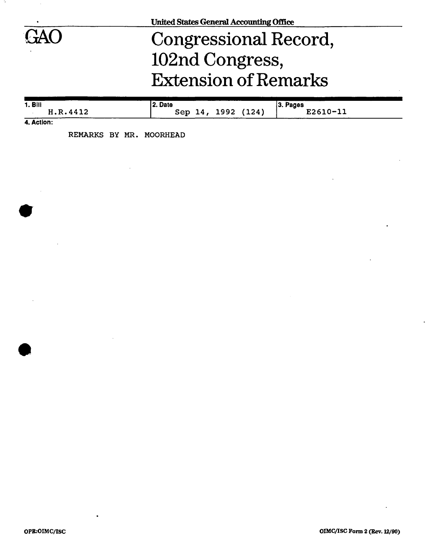

## Congressional Record, 102nd Congress, Extension of Remarks

| 1. Bill             | 2. Date                  | $ 3.$ Pages |
|---------------------|--------------------------|-------------|
| H.R.4412<br>------- | 1992 (124)<br>Sep<br>14. | E2610-1?    |

**4. Action:** 

REMARKS BY MR. MOORHEAD